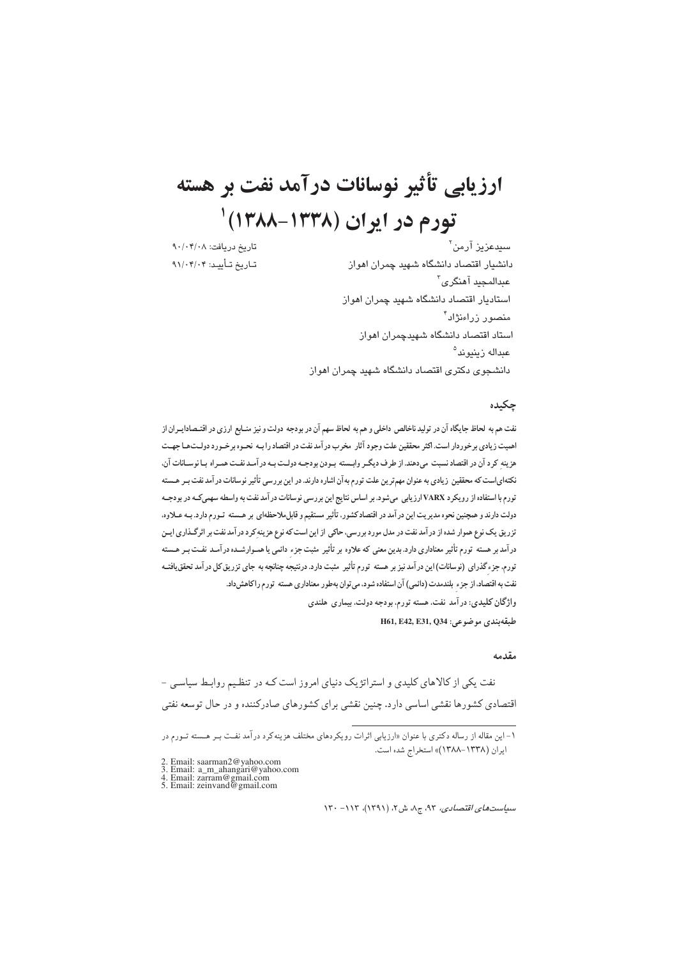# ارزیابی تأثیر نوسانات درآمد نفت بر هسته تورم در ايران (١٣٣٨-١٣٨٨)

تاريخ دريافت: ٩٠/٠۴/٠٨ تاريخ تـأييـد: ٩١/٠۴/٠۴

سڀدعزيز آرمن<sup>۲</sup> دانشدار اقتصاد دانشگاه شهید چمران اهواز عبدالمحید آهنگر ی<sup>۳</sup> استادیار اقتصاد دانشگاه شهید چمران اهواز منصور زراءنژاد<sup>۴</sup> استاد اقتصاد دانشگاه شهندچمران اهوان عبداله ن بنيو ند<sup>ه</sup> دانشجوی دکتری اقتصاد دانشگاه شهید چمران اهواز

## چکیده

نفت هم به لحاظ جایگاه آن در تولید ناخالص داخلی و هم به لحاظ سهم آن در بودجه دولت و نیز منـابع ارزی در اقتـصادايــران از اهمیت زیادی برخوردار است. اکثر محققین علت وجود آثار مخرب در آمد نفت در اقتصاد را بـه نحـوه برخـورد دولـتحـا جهـت هزینه کرد آن در اقتصاد نسبت میدهند. از طرف دیگر وابسته بودن بودجـه دولـت بـه در آمـد نفـت همـراه بـا نوسـانات آن، نکتهای است که محققین زیادی به عنوان مهم ترین علت تورم به آن اشاره دارند. در این بررسی تأثیر نوسانات در آمد نفت بـر هـسته تورم با استفاده از رویکرد VARX ارزیابی میشود. بر اساس نتایج این بررسی نوسانات در آمد نفت به واسطه سهمیکه در بودجـه دولت دارند و همچنین نحوه مدیریت این در آمد در اقتصاد کشور، تأثیر مستقیم و قابل ملاحظه ای بر هـسته تـورم دارد. بـه عـلاوه، تزریق یک نوع هموار شده از در آمد نفت در مدل مورد بررسی، حاکی از این است که نوع هزینه کرد در آمد نفت بر اثرگـذاری ایـن درآمد بر هسته تورم تأثیر معناداری دارد. بدین معنی که علاوه بر تأثیر مثبت جزء دائمی یا همـوارشـده درآمـد نفـت بـر هـسته تورم، جزء گذرای (نوسانات) این در آمد نیز بر هسته تورم تأثیر مثبت دارد. درنتیجه چنانچه به جای تزریق کل در آمد تحقق یافتـه نفت به اقتصاد، از جزء بلندمدت (دائمی) آن استفاده شود، می توان بهطور معناداری هسته تورم راکاهش داد. واژگان کلیدی: در آمد نفت، هسته تورم، بودجه دولت، بیماری هلندی

H61, E42, E31, Q34 : دى موضوعى:

#### مقدمه

نفت یکی از کالاهای کلیدی و استراتژیک دنیای امروز است کـه در تنظـیم روابـط سیاسـی – اقتصادی کشورها نقشی اساسی دارد. چنین نقشی برای کشورهای صادرکننده و در حال توسعه نفتی

- 2. Email: saarman2@yahoo.com<br>3. Email: a\_m\_ahangari@yahoo.com<br>4. Email: zarram@gmail.com<br>5. Email: zeinvand@gmail.com
- 

۱- این مقاله از رساله دکتری با عنوان «ارزیابی اثرات رویکردهای مختلف هزینهکرد درآمد نفت بـر هـسته تـورم در ايران (١٣٣٨-١٣٨٨)» استخراج شده است.

 $N^*$ ، -۱۱۳، -۱۳۰ م)، ۳۴، ج۸، ش۲، (۱۳۹۱)، ۱۳۰–۱۲۰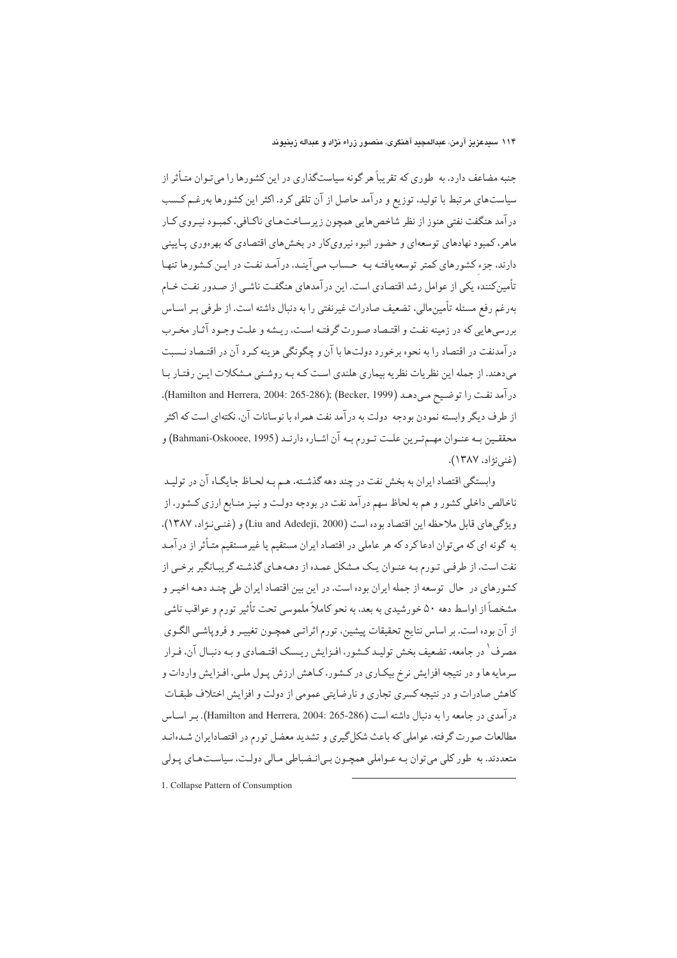جنبه مضاعف دارد. به طوری که تقریباً هر گونه سیاستگذاری در این کشورها را می تـوان متـأثر از سیاستهای مرتبط با تولید، توزیع و درآمد حاصل از آن تلقی کرد. اکثر این کشورها بهرغـم کـسب در آمد هنگفت نفتي هنوز از نظر شاخص هايي همچون زيرسـاخت.عاي ناكـافي، كمبـود نيـروي كـار ماهر، کمبود نهادهای توسعهای و حضور انبوه نیرویکار در بخش های اقتصادی که بهرهوری پیایینی دارند، جزء کشورهای کمتر توسعه یافتـه بـه حـساب مـی آینـد. در آمـد نفـت در ایـن کـشورها تنهـا تأمینکننده یکی از عوامل رشد اقتصادی است. این درآمدهای هنگفت ناشـی از صـدور نفـت خـام بهرغم رفع مسئله تأمين مالي، تضعيف صادرات غيرنفتي را به دنبال داشته است. از طرفي بـر اســاس بررسه هایی که در زمینه نفت و اقتـصاد صـورت گرفتـه اسـت، ریـشه و علـت وجـود آثـار مخـرب درآمدنفت در اقتصاد را به نحوه برخورد دولتها با آن و چگونگی هزینه کـرد آن در اقتـصاد نـسبت می،دهند. از جمله این نظریات نظریه بیماری هلندی است کـه بـه روشـنی مـشکلات ایـن رفتـار بـا درآمد نفت را توضيح مي دهـد (Hamilton and Herrera, 2004: 265-286); (Becker, 1999). از طرف دیگر وابسته نمودن بودجه دولت به درآمد نفت همراه با نوسانات آن، نکتهای است که اکثر محققيين بـه عنـوان مهـم تـرين علـت تـورم بـه آن اشـاره دارنـد (Bahmani-Oskooee, 1995) و (غني نژاد، ١٣٨٧).

وابستگی اقتصاد ایران به بخش نفت در چند دهه گذشته، هـم بـه لحـاظ جایگـاه آن در تولیـد ناخالص داخلی کشور و هم به لحاظ سهم درآمد نفت در بودجه دولت و نیـز منـابع ارزي کـشور، از ويژگي هاي قابل ملاحظه اين اقتصاد بوده است (Liu and Adedeji, 2000) و (غنبي نـژاد، ۱۳۸۷). به گونه ای که می توان ادعاکرد که هر عاملی در اقتصاد ایران مستقیم یا غیرمستقیم متـأثر از درآمـد نفت است. از طرفبی تـورم بـه عنـوان یـک مـشکل عمـده از دهـههـای گذشـته گریبـانگیر برخـی از کشورهای در حال توسعه از جمله ایران بوده است. در این بین اقتصاد ایران طی چنـد دهـه اخیـر و مشخصاً از اواسط دهه ۵۰ خورشیدی به بعد، به نحو کاملاً ملموسی تحت تأثیر تورم و عواقب ناشی از آن بوده است. بر اساس نتایج تحقیقات پیشین، تورم اثراتبی همچـون تغییـر و فروپاشـی الگـوی مصرف <sup>۱</sup> در جامعه، تضعیف بخش تولیـد کـشور، افـزایش ریـسک اقتـصادي و بـه دنبـال آن، فـرار سرمايه ها و در نتيجه افزايش نرخ بيكـاري در كـشور، كـاهش ارزش پـول ملـي، افـزايش واردات و کاهش صادرات و در نتیجه کسری تجاری و نارضایتی عمومی از دولت و افزایش اختلاف طبقـات درآمدي در جامعه را به دنبال داشته است (265-266 :004-2004). بـ اسـاس مطالعات صورت گرفته، عواملی که باعث شکل گیری و تشدید معضل تورم در اقتصادایران شـدهانـد متعددند. به طور کلی می توان بـه عـواملی همچـون بـی|نـضباطی مـالی دولـت، سیاسـتهـای پـولی

1. Collapse Pattern of Consumption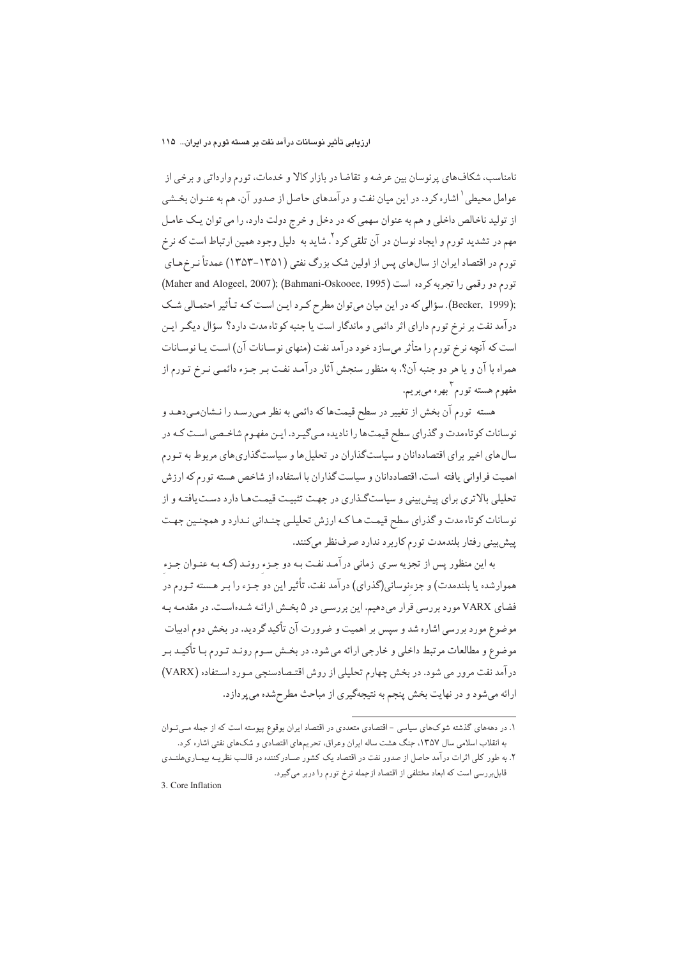نامناسب، شکافهای پرنوسان بین عرضه و تقاضا در بازار کالا و خدمات، تورم وارداتی و برخی از عوامل محیطی <sup>۱</sup> اشاره کرد. در این میان نفت و در آمدهای حاصل از صدور آن، هم به عنـوان بخـشی از تولید ناخالص داخلی و هم به عنوان سهمی که در دخل و خرج دولت دارد، را می توان یک عامل مهم در تشدید تورم و ایجاد نوسان در آن تلقی کرد <sup>۲</sup>. شاید به دلیل وجود همین ارتباط است که نرخ تورم در اقتصاد ایران از سالهای پس از اولین شک بزرگ نفتی (۱۳۵۱–۱۳۵۳) عمدتاً نـرخهـای .<br>تورم دو رقمي را تجربه كرده است (1995 (Bahmani-Oskooee, 1995) (Maher and Alogeel, 2007); :(Becker, 1999). سؤالي كه در اين ميان مي توان مطرح كـرد ايـن اسـت كـه تـأثير احتمـالي شـك درآمد نفت بر نرخ تورم دارای اثر دائمی و ماندگار است یا جنبه کوتاه مدت دارد؟ سؤال دیگـر ایـن است که آنچه نرخ تورم را متأثر می سازد خود درآمد نفت (منهای نوسـانات آن) اسـت یـا نوسـانات همراه با آن و یا هر دو جنبه آن؟، به منظور سنجش آثار درآمد نفت بـر جـزء دائمـی نـرخ تـورم از مفهوم هسته تورم بهره مىبريم.

هسته تورم آن بخش از تغییر در سطح قیمتها که دائمی به نظر مـیرسـد را نـشانمـیدهـد و نوسانات کو تاهمدت و گذرای سطح قیمتها را نادیده میگیرد. ایـن مفهـوم شاخـصی اسـت کـه در سال های اخیر برای اقتصاددانان و سیاستگذاران در تحلیل ها و سیاستگذاری های مربوط به تـورم اهمیت فراوانی یافته است. اقتصاددانان و سیاست گذاران با استفاده از شاخص هسته تورم که ارزش تحلیلی بالاتری برای پیش بینی و سیاستگذاری در جهت تثبیت قیمتها دارد دست یافتـه و از نوسانات کو تاه مدت و گذرای سطح قیمت هـاکـه ارزش تحلیلـی چنـدانی نـدارد و همچنـین جهـت پیشبینی رفتار بلندمدت تورم کاربرد ندارد صرفنظر میکنند.

به این منظور پس از تجزیه سری زمانی درآمد نفت بـه دو جـزء رونـد (کـه بـه عنـوان جـزء هموارشده یا بلندمدت) و جزءنوسانی(گذرای) در آمد نفت، تأثیر این دو جـزء را بـر هـسته تـورم در فضای VARX مورد بررسی قرار میدهیم. این بررسـی در ۵ بخـش ارائـه شـدهاسـت. در مقدمـه بـه موضوع مورد بررسی اشاره شد و سپس بر اهمیت و ضرورت آن تأکید گردید. در بخش دوم ادبیات موضوع و مطالعات مرتبط داخلي و خارجي ارائه مي شود. در بخـش سـوم رونـد تـورم بـا تأكيـد بـر درآمد نفت مرور می شود. در بخش چهارم تحلیلی از روش اقتـصادسنجی مـورد اسـتفاده (VARX) ارائه میشود و در نهایت بخش پنجم به نتیجهگیری از مباحث مطرحشده میپردازد.

۱. در دهههای گذشته شوکهای سیاسی - اقتصادی متعددی در اقتصاد ایران بوقوع پیوسته است که از جمله مـیتـوان به انقلاب اسلامی سال ۱۳۵۷، جنگ هشت ساله ایران وعراق، تحریمهای اقتصادی و شکهای نفتی اشاره کرد.

۲. به طور کلی اثرات درآمد حاصل از صدور نفت در اقتصاد یک کشور صـادرکننده در قالـب نظریــه بیمـاریهلنــدی قابلبررسی است که ابعاد مختلفی از اقتصاد ازجمله نرخ تورم را دربر میگیرد.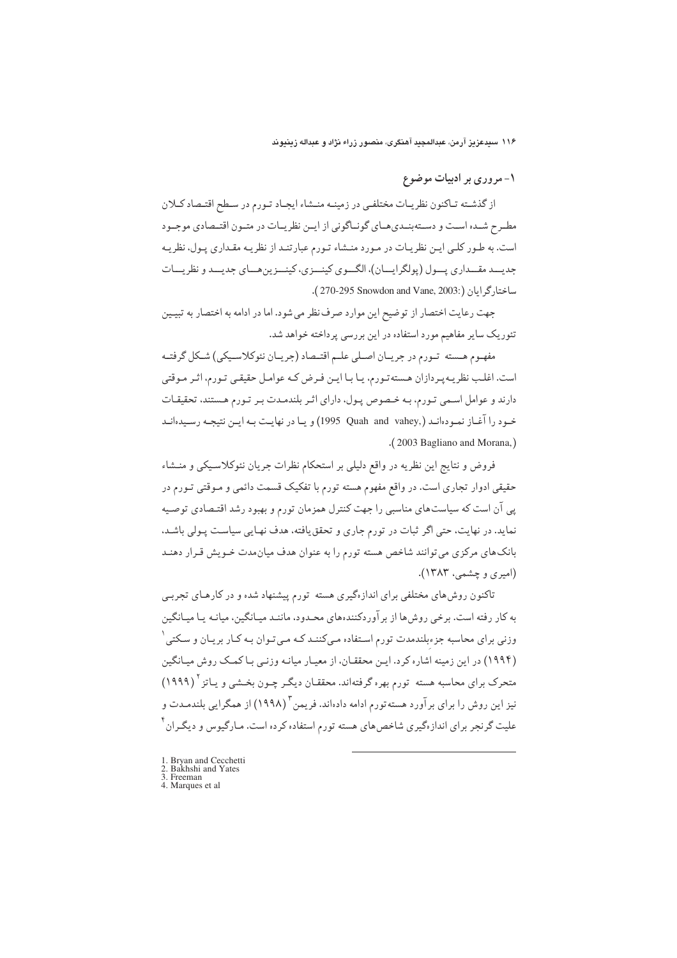۱- مروری بر ادبیات موضوع

از گذشته تـاكنون نظريـات مختلفـي در زمينـه منـشاء ايجـاد تـورم در سـطح اقتـصاد كـلان مطـرح شـده اسـت و دسـتهبنـديهـاي گونـاگوني از ايـن نظريـات در متـون اقتـصادي موجـود است. به طـور کلـی ایـن نظریـات در مـورد منـشاء تـورم عبارتنـد از نظریـه مقـداری پـول، نظریـه جديسد مقسداري پسول (پولگرايسان)، الگسوي کينسزي، کينسزين هساي جديسد و نظريسات ساختار گرايان (:2003, 270-295 Snowdon and Vane).

جهت رعایت اختصار از توضیح این موارد صرف نظر می شود. اما در ادامه به اختصار به تبیـین تئوریک سایر مفاهیم مورد استفاده در این بررسی پرداخته خواهد شد.

مفهـوم هـسته تـورم در جريـان اصـلي علـم اقتـصاد (جريـان نئوكلاسـيكي) شـكل گرفتـه است. اغلب نظریـهپـردازان هـستهتـورم، یـا بـا ایـن فـرض کـه عوامـل حقیقـی تـورم، اثـر مـوقتی دارند و عوامل اسمی تورم، به خصوص پول، دارای اثر بلندمدت بر تورم هستند، تحقیقات خـود را آغـاز نمـودهانـد (,Quah and vahey) و يـا در نهايـت بـه ايـن نتيجـه رسـيدهانـد .(2003 Bagliano and Morana,)

فروض و نتايج اين نظريه در واقع دليلي بر استحكام نظرات جريان نئوكلاسـيكي و منـشاء حقیقی ادوار تجاری است. در واقع مفهوم هسته تورم با تفکیک قسمت دائمی و مـوقتی تـورم در پی آن است که سیاستهای مناسبی را جهت کنترل همزمان تورم و بهبود رشد اقتـصادی توصـیه نماید. در نهایت، حتی اگر ثبات در تورم جاری و تحقق یافته، هدف نهایی سیاست پـولی باشـد. بانک های مرکزی می توانند شاخص هسته تورم را به عنوان هدف میان مدت خـویش قـرار دهنـد (امیری و چشمې، ۱۳۸۳).

تاکنون روش،های مختلفی برای اندازهگیری هسته تورم پیشنهاد شده و در کارهـای تجربـی به کار رفته است. برخی روش ها از برآوردکنندههای محـدود، ماننـد میـانگین، میانـه پـا میـانگین وزنی برای محاسبه جزءبلندمدت تورم اسـتفاده مـیکننـد کـه مـیتـوان بـه کـار بريـان و سـکتـی' (۱۹۹۴) در این زمینه اشاره کرد. ایـن محققـان، از معیـار میانـه وزنـی بـاکمـک روش میـانگین متحرک برای محاسبه هسته تورم بهره گرفتهاند. محققـان دیگـر چـون بخـشـی و پـاتز <sup>۲</sup> (۱۹۹۹) نیز این روش را برای برآورد هسته تورم ادامه دادهاند. فریمن <sup>۳</sup> (۱۹۹۸) از همگرایی بلندمـدت و علیت گرنجر برای اندازهگیری شاخصهای هسته تورم استفاده کرده است. مـارگیوس و دیگـران ٔ

- 
- 1. Bryan and Cecchetti<br>2. Bakhshi and Yates<br>3. Freeman
- 4. Marques et al.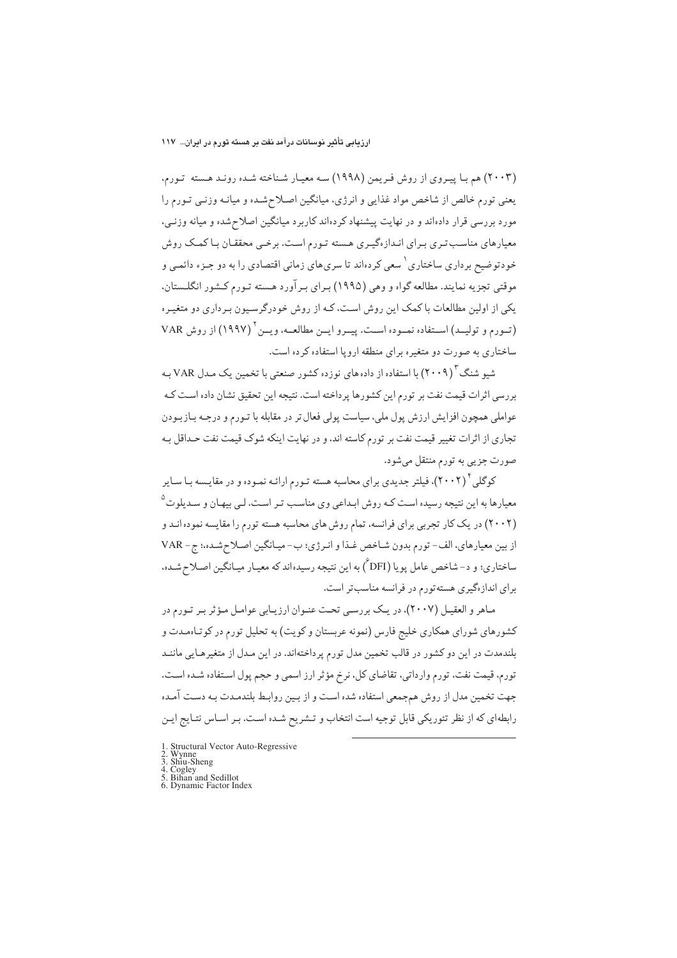(۲۰۰۳) هم با پیروی از روش فریمن (۱۹۹۸) سه معیار شناخته شده روند هسته تورم. یعنی تورم خالص از شاخص مواد غذایی و انرژی، میانگین اصلاحشده و میانـه وزنـی تـورم را مورد بررسی قرار دادهاند و در نهایت پیشنهاد کردهاند کاربرد میانگین اصلاحشده و میانه وزنبی، معیارهای مناسب تـری بـرای انـدازهگیـری هـسته تـورم اسـت. برخـی محققـان بـا کمـک روش خودتوضیح برداری ساختاری` سعی کردهاند تا سریهای زمانی اقتصادی را به دو جـزء دائمـی و موقتی تجزیه نمایند. مطالعه گواه و وهی (۱۹۹۵) بـرای بـرآورد هـسته تـورم کـشور انگلـستان، یکی از اولین مطالعات با کمک این روش است، کـه از روش خودرگرسـیون بـرداری دو متغیـره (تورم و توليم) استفاده نموده است. پيرو اين مطالعـه، ويـن ' (١٩٩٧) از روش VAR ساختاری به صورت دو متغیره برای منطقه اروپا استفاده کرده است.

شمو شنگ<sup>۲</sup> (۲۰۰۹) با استفاده از دادههای نوزده کشور صنعتی با تخمین یک مـدل VAR بـه بررسی اثرات قیمت نفت بر تورم این کشورها پرداخته است. نتیجه این تحقیق نشان داده است کـه عواملي همچون افزايش ارزش يول ملي، سياست يولي فعال تر در مقابله با تـورم و درجـه بـازبـودن تجاری از اثرات تغییر قیمت نفت بر تورم کاسته اند، و در نهایت اینکه شوک قیمت نفت حـداقل بـه صورت جزیی به تورم منتقل میشود.

کوگلی ٔ (۲۰۰۲)، فیلتر جدیدی برای محاسبه هسته تـورم ارائـه نمـوده و در مقایـسه بـا سـایر معیارها به این نتیجه رسیده است کـه روش ابـداعی وی مناسـب تـر اسـت. لـی بیهـان و سـدیلوت<sup>۵</sup> (۲۰۰۲) در یک کار تجربی برای فرانسه، تمام روش های محاسبه هسته تورم را مقایسه نموده انـد و از بین معیارهای، الف- تورم بدون شـاخص غـذا و انـرژی؛ ب- میـانگین اصـلاح شـده؛ ج- VAR ساختاري؛ و د-شاخص عامل يويا (DFI) به اين نتيجه رسيدهاند كه معيـار ميـانگين اصـلاح شـده. برای اندازهگیری هستهتورم در فرانسه مناسب تر است.

ماهر و العقيـل (٢٠٠٧)، در يـك بررسـي تحت عنـوان ارزيـابي عوامـل مـؤثر بـر تـورم در کشورهای شورای همکاری خلیج فارس (نمونه عربستان و کویت) به تحلیل تورم در کوتاهمدت و بلندمدت در این دو کشور در قالب تخمین مدل تورم پرداختهاند. در این مـدل از متغیرهـایی ماننـد تورم، قیمت نفت، تورم وارداتی، تقاضای کل، نرخ مؤثر ارز اسمی و حجم پول استفاده شـده است. جهت تخمین مدل از روش همجمعی استفاده شده است و از بین روابط بلندمـدت بـه دسـت آمـده رابطهای که از نظر تئوریکی قابل توجیه است انتخاب و تـشریح شـده اسـت. بـر اسـاس نتـایج ایـن

- 1. Structural Vector Auto-Regressive<br>2. Wynne<br>3. Shiu-Sheng<br>4. Cogley<br>5. Bihan and Sedillot<br>6. Dynamic Factor Index
- 
- 
-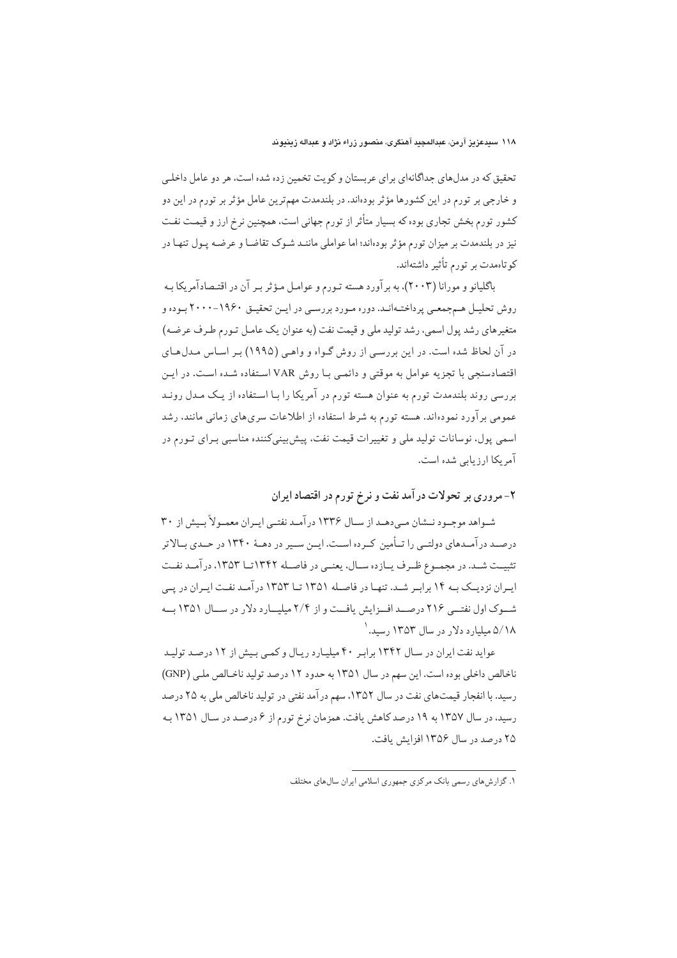تحقیق که در مدلهای جداگانهای برای عربستان و کویت تخمین زده شده است، هر دو عامل داخلبی و خارجي بر تورم در اين كشورها مؤثر بودهاند. در بلندمدت مهمترين عامل مؤثر بر تورم در اين دو کشور تورم بخش تجاری بوده که بسیار متأثر از تورم جهانی است، همچنین نرخ ارز و قیمت نفت نیز در بلندمدت بر میزان تورم مؤثر بودهاند؛ اما عواملی ماننـد شـوک تقاضـا و عرضـه پـول تنهـا در کوتاهمدت بر تورم تأثیر داشتهاند.

باگلیانو و مورانا (۲۰۰۳)، به بر آورد هسته تـورم و عوامـل مـؤثر بـر آن در اقتـصادآمریکا بـه روش تحلیـل هـمجمعـی پرداختـهانـد. دوره مـورد بررسـی در ایـن تحقیـق ۱۹۶۰-۲۰۰۰ بـوده و متغیرهای رشد یول اسمی، رشد تولید ملی و قیمت نفت (به عنوان یک عامل تبورم طرف عرضـه) در آن لحاظ شده است. در این بررسی از روش گـواه و واهـی (۱۹۹۵) بـر اسـاس مـدلهـای اقتصادسنجی با تجزیه عوامل به موقتی و دائمبی بـا روش VAR اسـتفاده شـده است. در ایـن بررسی روند بلندمدت تورم به عنوان هسته تورم در آمریکا را بـا اسـتفاده از یـک مـدل رونـد عمومی بر آورد نمودهاند. هسته تورم به شرط استفاده از اطلاعات سری های زمانی مانند، رشد اسمي يول، نوسانات توليد ملي و تغييرات قيمت نفت، پيش بيني كننده مناسبي بـراي تـورم در آمریکا ارزیابی شده است.

۲- مروری بر تحولات درآمد نفت و نرخ تورم در اقتصاد ایران

شـواهد موجـود نـشان مـىدهـد از سـال ١٣٣۶ درآمـد نفتـى ايـران معمـولاً بـيش از ٣٠ درصـد در آمـدهاي دولتــي را تــأمين كــرده اســت. ايــن ســير در دهــهٔ ۱۳۴۰ در حــدي بــالاتر تثبيـت شـد. در مجمـوع ظـرف يـازده سـال، يعنـى در فاصـله ١٣۴٢تــا ١٣۵٣، در آمـد نفـت ایـران نزدیـک بـه ۱۴ برابـر شـد. تنهـا در فاصـله ۱۳۵۱ تـا ۱۳۵۳ درآمـد نفـت ایـران در یـی شوک اول نفتے ۲۱۶ درصـد افــزایش یافــت و از ۲/۴ میلیــارد دلار در ســال ۱۳۵۱ بــه ۵/۱۸ میلیار د دلار در سال ۱۳۵۳ رسید. ۱

عواید نفت ایران در سال ۱۳۴۲ برابر ۴۰ میلیارد ریال و کمی بیش از ۱۲ درصد تولید ناخالص داخلی بوده است. این سهم در سال ۱۳۵۱ به حدود ۱۲ درصد تولید ناخالص ملبی (GNP) رسید. با انفجار قیمتهای نفت در سال ۱۳۵۲، سهم درآمد نفتی در تولید ناخالص ملی به ۲۵ درصد رسید، در سال ۱۳۵۷ به ۱۹ درصد کاهش یافت. همزمان نرخ تورم از ۶ درصـد در سـال ۱۳۵۱ بـه ۲۵ درصد در سال ۱۳۵۶ افزایش یافت.

۱. گزارش های رسمی بانک مرکزی جمهوری اسلامی ایران سال های مختلف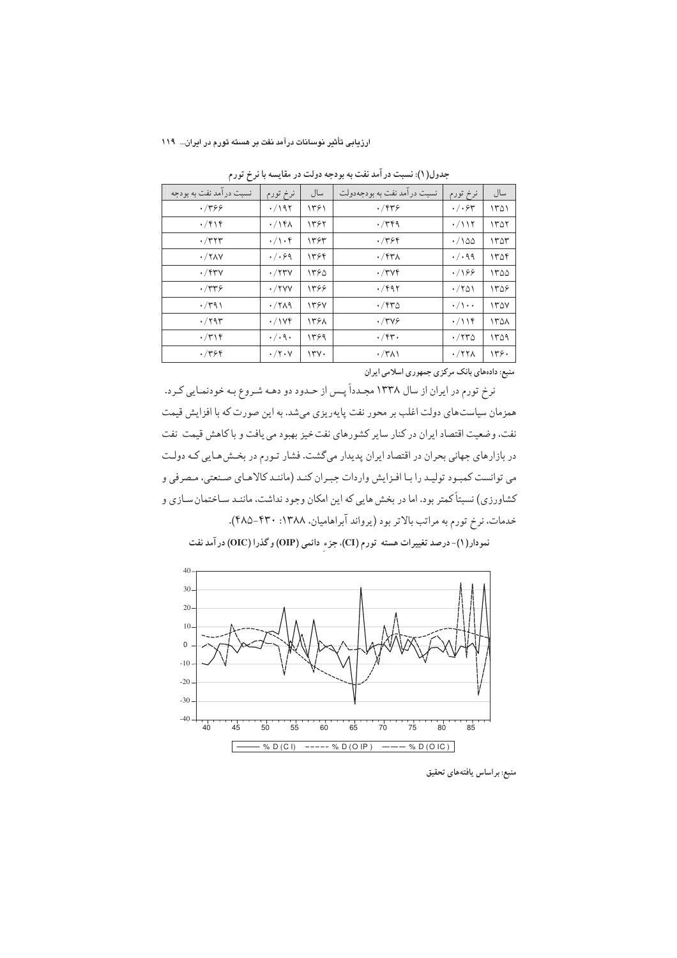| نرخ تورم                  | سال        | نسبت درآمد نفت به بودجهدولت | نرخ تورم                    | سال  |
|---------------------------|------------|-----------------------------|-----------------------------|------|
| $\cdot$ /195              | ۱۳۶۱       | .7979                       | $\cdot/\cdot$ ۶۳            | ۱۳۵۱ |
| $\cdot$ /14 $\wedge$      | 1392       | $\cdot$ /۳۴۹                | $\cdot$ /11٢                | ۱۳۵۲ |
| $\cdot/\backslash\cdot$ ۴ | ۱۳۶۳       | .7999                       | $\cdot$ /100                | ۱۳۵۳ |
| $\cdot/\cdot$ ۶۹          | ۱۳۶۴       | $\cdot$ /۴۳۸                | $\cdot$ / $\cdot$ 99        | ۱۳۵۴ |
| $\cdot$ /۲۳ $\vee$        | ۱۳۶۵       | $\cdot$ /۳۷۴                | .799                        | 1400 |
| $\cdot$ /۲۷۷              | 1398       | $\cdot$ /۴۹۲                | $\cdot$ /۲۵۱                | 1409 |
| $\cdot$ /۲۸۹              | 1397       | $\cdot$ /۴۳۵                | $\cdot/\rangle \cdot \cdot$ | ۱۳۵۷ |
| $\cdot$ /174              | 1398       | $\cdot$ /۳۷۶                | $\cdot/\iota$               | ۱۳۵۸ |
| $\cdot/\cdot$ 9 $\cdot$   | 1399       | $\cdot$ /۴۳ $\cdot$         | $\cdot$ /۲۳۵                | 1409 |
| $\cdot$ /۲۰۷              | $\Upsilon$ | $\cdot$ /۳۸۱                | $\cdot$ /۲۲۸                | ۱۳۶۰ |
|                           |            |                             |                             |      |

جدول(۱): نسبت در امد نفت به بودجه دولت در مقایسه با نرخ تورم

منبع: دادههای بانک مرکزی جمهوری اسلامی ایران

رخ تورم در ایران از سال ۱۳۳۸ مجـددا پـس از حـدود دو دهـه شـروع بـه خودنمـایی کـرد. .<br>د همزمان سیاست های دولت اغلب بر محور نفت پایهریزی میشد. به این صورت که با افزایش قیمت نفت، وضعيت اقتصاد ايران در كنار ساير كشورهاي نفت خيز بهبود مي يافت و با كاهش قيمت نفت در بازارهای جهانی بحران در اقتصاد ایران پدیدار میگشت. فشار تـورم در بخـش۵هـایی کـه دولـت می توانست کمبـود تولیـد را بـا افـزایش واردات جبـران کنـد (ماننـد کالاهـای صـنعتی، مـصرفی و کشاورزی) نسبتاً کمتر بود. اما در بخش هایی که این امکان وجود نداشت، ماننـد سـاختمان سـازی و خدمات، نرخ تورم به مراتب بالاتر بود (يرواند ابراهاميان، ۱۳۸۸: ۴۳۰–۴۸۵).



نمودار(١)-درصد تغییرات هسته تورم (CI)، جزء دائمی (OIP) و گذرا (OIC) در آمد نفت

منبع: براساس يافتههاى تحقيق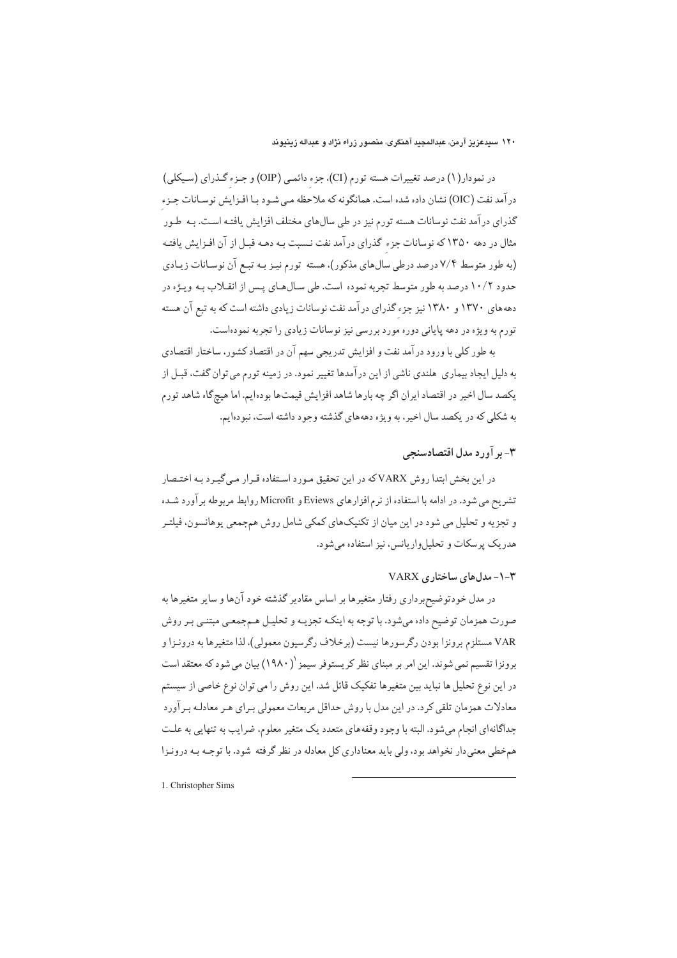در نمودار(۱) درصد تغییرات هسته تورم (CI)، جزء دائمی (OIP) و جـزء گـذرای (سـیکلی) در آمد نفت (OIC) نشان داده شده است. همانگونه که ملاحظه می شـود بـا افـزايش نوسـانات جـزء گذرای در آمد نفت نوسانات هسته تورم نیز در طی سالهای مختلف افزایش یافتـه اسـت. بـه طـور مثال در دهه ۱۳۵۰ که نوسانات جزء گذرای در آمد نفت نـسبت بـه دهـه قبـل از آن افـزايش يافتـه (به طور متوسط ۷/۴ درصد درطی سالهای مذکور)، هسته تورم نیـز بـه تبـع آن نوسـانات زیـادی حدود ۱۰/۲ درصد به طور متوسط تجربه نموده است. طي سـالهـاي پـس از انقـلاب بـه ويـژه در دهههای ۱۳۷۰ و ۱۳۸۰ نیز جزء گذرای درآمد نفت نوسانات زیادی داشته است که به تبع آن هسته تورم به ویژه در دهه پایانی دوره مورد بررسی نیز نوسانات زیادی را تجربه نمودهاست.

به طور کلی با ورود در آمد نفت و افزایش تدریجی سهم آن در اقتصاد کشور، ساختار اقتصادی به دلیل ایجاد بیماری هلندی ناشی از این درآمدها تغییر نمود. در زمینه تورم می توان گفت، قبـل از يكصد سال اخير در اقتصاد ايران اگر چه بارها شاهد افزايش قيمتها بودهايم. اما هيچ گاه شاهد تورم به شکلی که در یکصد سال اخیر ، به ویژه دهههای گذشته وجود داشته است، نبودهایم.

# ۳- بر آورد مدل اقتصادسنجی

در این بخش ابتدا روش VARXکه در این تحقیق مـورد اسـتفاده قـرار مـي¢يـرد بـه اختـصار تشریح می شود. در ادامه با استفاده از نرم افزارهای Eviews و Microfit روابط مربوطه برآورد شـده و تجزیه و تحلیل می شود در این میان از تکنیکهای کمکی شامل روش همجمعی یوهانسون، فیلتـر هدریک پرسکات و تحلیل واریانس، نیز استفاده می شود.

## $VARX$  - مدل های ساختاری $-1 - r$

در مدل خودتوضیحبرداری رفتار متغیرها بر اساس مقادیر گذشته خود آنها و سایر متغیرها به صورت همزمان توضیح داده میشود. با توجه به اینکـه تجزیـه و تحلیـل هـمجمعـی مبتنـی بـر روش .<br>VAR مستلزم برونزا بودن رگرسورها نيست (برخلاف رگرسيون معمولي)، لذا متغيرها به درونـزا و برونزا تقسیم نمی شوند. این امر بر مبنای نظر کریستوفر سیمز (۱۹۸۰) بیان می شود که معتقد است در این نوع تحلیل ها نباید بین متغیرها تفکیک قائل شد. این روش را می توان نوع خاصی از سیستم معادلات همزمان تلقى كرد. در اين مدل با روش حداقل مربعات معمولي بـراي هـر معادلـه بـر آورد جداگانهای انجام میشود. البته با وجود وقفههای متعدد یک متغیر معلوم، ضرایب به تنهایی به علت همخطی معنی دار نخواهد بود، ولی باید معناداری کل معادله در نظر گرفته شود. با توجـه بـه درونـزا

1. Christopher Sims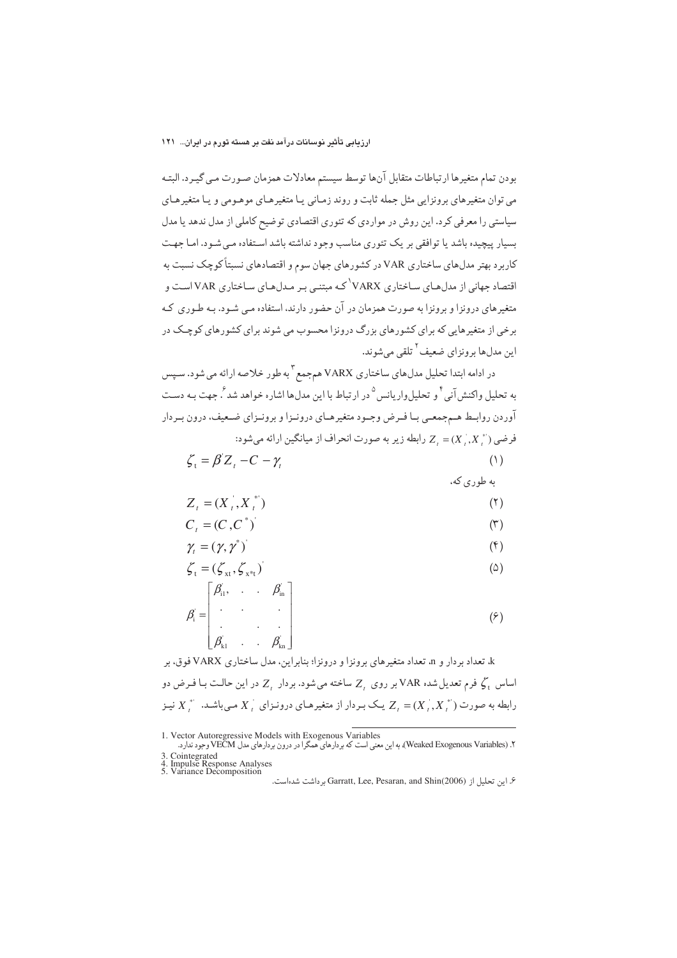بودن تمام متغیرها ارتباطات متقابل آنها توسط سیستم معادلات همزمان صـورت مـي گيـرد. البتـه می توان متغیرهای برونزایی مثل جمله ثابت و روند زمـانی یـا متغیرهـای موهـومی و یـا متغیرهـای سیاستی را معرفی کرد. این روش در مواردی که تئوری اقتصادی توضیح کاملی از مدل ندهد یا مدل بسیار پیچیده باشد یا توافقی بر یک تئوری مناسب وجود نداشته باشد استفاده مبی شـود. امـا جهـت کاربرد بهتر مدلهای ساختاری VAR در کشورهای جهان سوم و اقتصادهای نسبتاً کوچک نسبت به اقتصاد جهانی از مدلهای ساختاری VARX<sup>\</sup>که مبتنبی بـر مـدلهـای سـاختاری VAR اسـت و متغیرهای درونزا و برونزا به صورت همزمان در آن حضور دارند، استفاده مبی شـود. بـه طـوری کـه برخی از متغیرهایی که برای کشورهای بزرگ درونزا محسوب می شوند برای کشورهای کوچـک در اين مدلها برونزاي ضعيف<sup>٢</sup> تلقي مي شوند.

در ادامه ابتدا تحلیل مدلهای ساختاری VARX هم جمع <sup>۳</sup> به طور خلاصه ارائه می شود. سـیس به تحلیل واکنش آنی <sup>۴</sup> و تحلیل وار پانس <sup>۵</sup> در ارتباط با این مدل۱ها اشار ه خواهد شد <sup>۶</sup>. حهت بـه دسـت آوردن روابـط هـمجمعــي بــا فــرض وجــود متغيرهــاي درونــزا و برونــزاي ضـعيف، درون بــردار فرضي (\*,X بر Z, = (X رابطه زير به صورت انحراف از ميانگين ارائه مي شود:

$$
\zeta_t = \beta' Z_t - C - \gamma_t \tag{1}
$$

به طوری که،

$$
Z_t = (X_t, X_t^*)
$$
\n<sup>(</sup>

$$
C_t = (C, C^*)
$$

$$
\gamma_t = (\gamma, \gamma^*)
$$
 (f)

$$
\zeta_{t} = (\zeta_{xt}, \zeta_{x^{*}t})^{\dagger}
$$
\n
$$
\zeta_{t} = \zeta_{t} \zeta_{t} + \zeta_{t} \zeta_{t} \zeta_{t} \tag{2}
$$

$$
\beta_{i} = \begin{bmatrix} \beta_{i1}, & \cdots & \beta_{in} \\ \vdots & \ddots & \vdots \\ \beta_{k1} & \cdots & \beta_{kn} \end{bmatrix}
$$
 (9)

k تعداد بردار و n تعداد متغیرهای برونزا و درونزا؛ بنابراین، مدل ساختاری VARX فوق، بر اساس کی فرم تعدیل شده VAR بر روی Z ساخته می شود. بردار Z در این حالت بـا فـرض دو رابطه به صورت ( $X, X, X, \vdash Z$  یک بـردار از متغیرهـای درونـزای  $X, X, X, \vdash X$  نیـز

<sup>1.</sup> Vector Autoregressive Models with Exogenous Variables<br>۲. (Weaked Exogenous Variables) به این معنی است که بردارهای همگرا در درون بردارهای مدل VECM وجود ندارد.

<sup>3.</sup> Cointegrated<br>4. Impulse Response Analyses<br>5. Variance Decomposition

۶. این تحلیل از Garratt, Lee, Pesaran, and Shin(2006) بر داشت شدهاست.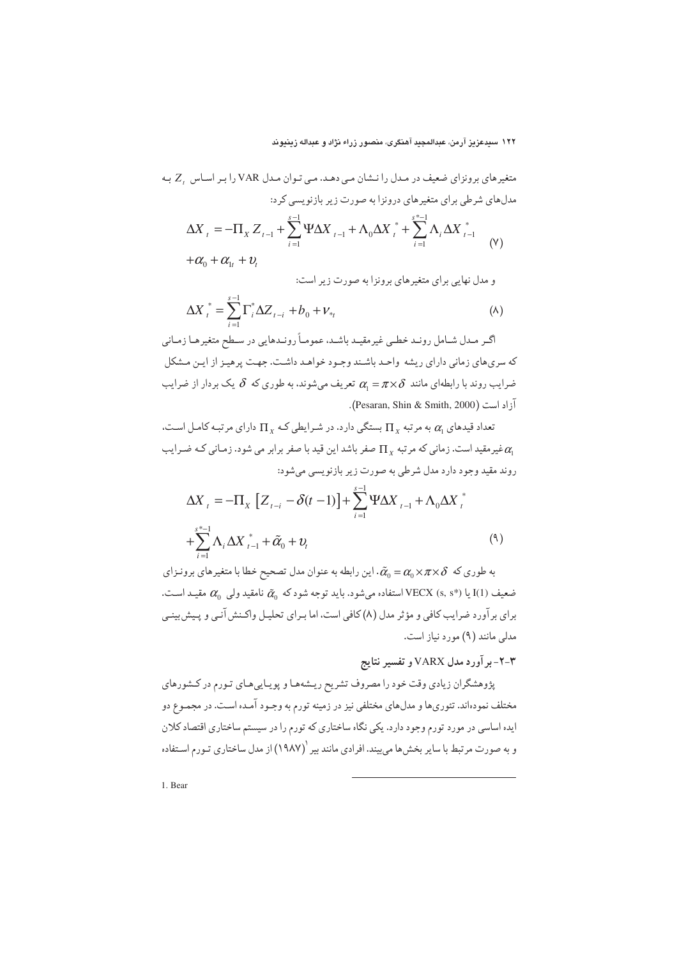تغیرهای برونزای ضعیف در مدل را نشان می دهد. می توان مدل Xor ۲۸۲ را بر اساس 7. ب  
دلهای شرطی برای متغیرهای درونزا به صورت زیر بازنویسی کرد:  
\n
$$
\Delta X_{t} = -\Pi_{X} Z_{t-1} + \sum_{i=1}^{s-1} \Psi \Delta X_{t-1} + \Lambda_{0} \Delta X_{t}^{*} + \sum_{i=1}^{s-1} \Lambda_{i} \Delta X_{t-1}^{*}
$$
\n
$$
+ \alpha_{0} + \alpha_{1} + \nu_{t}
$$

و مدل نهایی برای متغیرهای برونزا به صورت زیر است:

$$
\Delta X_{t}^{*} = \sum_{i=1}^{s-1} \Gamma_{i}^{*} \Delta Z_{t-i} + b_{0} + V_{*t}
$$
 (A)

اگـر مـدل شـامل رونـد خطـي غيرمقيـد باشـد، عمومـاً رونـدهايي در سـطح متغيرهـا زمـاني كه سرى هاى زمانى داراى ريشه واحـد باشـند وجـود خواهـد داشـت. جهـت پرهيـز از ايـن مـشكل ضرایب روند با رابطهای مانند  $\alpha_{\scriptscriptstyle \! 1} = \pi \times \delta$  تعریف میشوند. به طوری که  $\delta$  یک بردار از ضرایب آزاد است (Pesaran, Shin & Smith, 2000).

تعداد قیدهای  $\alpha$  به مرتبه  $\Pi_{\rm v}$  بستگی دارد. در شـرایطی کـه  $\Pi_{\rm v}$  دارای مرتبـه کامـل اسـت، غیرمقید است. زمانی که مرتبه  $\Pi_{\rm v}$  صفر باشد این قید با صفر برابر می شود. زمـانی کـه ضـرایب  $\alpha_{\rm n}$ روند مقيد وجود دارد مدل شرطي به صورت زير بازنويسي مي شود:

$$
\Delta X_{t} = -\Pi_{X} \left[ Z_{t-i} - \delta(t-1) \right] + \sum_{i=1}^{s-1} \Psi \Delta X_{t-i} + \Lambda_{0} \Delta X_{t}^{*} + \sum_{i=1}^{s^{*}-1} \Lambda_{i} \Delta X_{t-i}^{*} + \tilde{\alpha}_{0} + \nu_{t}
$$
\n(9)

به طوري كه  $\alpha_\alpha \times \pi \times \alpha_\alpha = \alpha$ . اين رابطه به عنوان مدل تصحيح خطا با متغيرهاي برونـزاي ن معيف (I(1) يا (\*VECX (s, s) استفاده مي شود. بايد توجه شود كه  $\widetilde{\alpha}_{0}$  نامقيد ولي  $\alpha_{0}$  مقيـد اسـت. برای برآورد ضرایب کافی و مؤثر مدل (۸) کافی است، اما بـرای تحلیـل واکـنش آنـی و پـیش بینـی مدلی مانند (۹) مورد نیاز است.

# ۲-۳- بر آورد مدل VARX و تفسیر نتایج

پژوهشگران زیادی وقت خود را مصروف تشریح ریـشههـا و پویـاییهـای تـورم در کـشورهای مختلف نمودهاند. تئوريها و مدلهاي مختلفي نيز در زمينه تورم به وجـود آمـده اسـت. در مجمـوع دو ایده اساسی در مورد تورم وجود دارد. یکی نگاه ساختاری که تورم را در سیستم ساختاری اقتصاد کلان و به صورت مرتبط با سایر بخشها می بیند. افرادی مانند بیر (۱۹۸۷) از مدل ساختاری تـورم اسـتفاده

1. Bear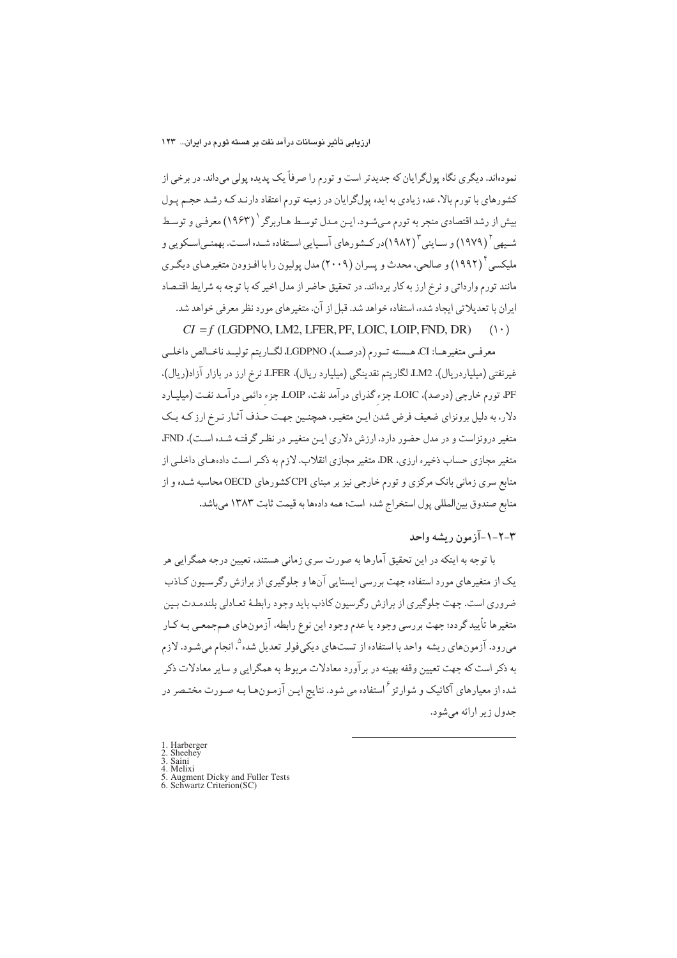نمودهاند. دیگری نگاه پولگرایان که جدیدتر است و تورم را صرفاً یک پدیده پولی میداند. در برخی از کشورهای با تورم بالا، عده زیادی به ایده پولگرایان در زمینه تورم اعتقاد دارنـد کـه رشـد حجـم پـول بیش از رشد اقتصادی منجر به تورم می شـود. ایـن مـدل توسـط هـاربرگر ` (۱۹۶۳) معرفـی و توسـط شبههی ( ۱۹۷۹) و سـاینی آ (۱۹۸۲)در کـشورهای آسـیایی اسـتفاده شـده اسـت. بهمنـی|سـکویی و ملیکسی ٔ (۱۹۹۲) و صالحی، محدث و پسران (۲۰۰۹) مدل پولیون را با افـزودن متغیرهـای دیگـری مانند تورم وارداتی و نرخ ارز به کار بردهاند. در تحقیق حاضر از مدل اخیر که با توجه به شرایط اقتـصاد ایران با تعدیلاتی ایجاد شده، استفاده خواهد شد. قبل از آن، متغیرهای مورد نظر معرفی خواهد شد.  $CI = f$  (LGDPNO, LM2, LFER, PF, LOIC, LOIP, FND, DR)  $(1 \cdot)$ 

معرفمي متغيرهـا: CI، هـسته تـورم (درصـد)، LGDPNO لگـاريتم توليـد ناخـالص داخلـي غیرنفتی (میلیاردریال)، LM2 لگاریتم نقدینگی (میلیارد ریال)، LFER، نرخ ارز در بازار آزاد(ریال)، PF، تورم خارجي (درصد)، LOIC جزء گذراي درآمد نفت، LOIP، جزء دائمي درآمد نفت (ميليـارد دلار، به دلیل برونزای ضعیف فرض شدن ایـن متغیـر، همچنـین جهـت حـذف آثـار نـرخ ارز کـه یـک متغیر درونزاست و در مدل حضور دارد، ارزش دلاری ایـن متغیـر در نظـر گرفتـه شـده اسـت)، FND، متغیر مجازی حساب ذخیره ارزی، DR متغیر مجازی انقلاب. لازم به ذکـر اسـت دادههـای داخلـی از منابع سری زمانی بانک مرکزی و تورم خارجی نیز بر مبنای CPIکشورهای OECD محاسبه شـده و از منابع صندوق بين المللي يول استخراج شده است؛ همه دادهها به قيمت ثابت ١٣٨٣ مي باشد.

# ۴-۲-۱-آزمون ريشه واحد

با توجه به اینکه در این تحقیق آمارها به صورت سری زمانی هستند، تعیین درجه همگرایی هر یک از متغیرهای مورد استفاده جهت بررسی ایستایی آنها و جلوگیری از برازش رگرسیون کـاذب ضروری است. جهت جلوگیری از برازش رگرسیون کاذب باید وجود رابطـهٔ تعـادلی بلندمـدت بـین متغیرها تأیید گردد؛ جهت بررسی وجود یا عدم وجود این نوع رابطه، آزمونهای هـمجمعـی بـه کـار می رود. آزمونهای ریشه واحد با استفاده از تستهای دیکی فولر تعدیل شده <sup>۵</sup>، انجام می شـود. لازم به ذکر است که جهت تعیین وقفه بهینه در بر آورد معادلات مربوط به همگرایی و سایر معادلات ذکر شده از معیارهای آکائیک و شوارتز<sup>۶</sup>استفاده می شود. نتایج ایـن آزمـونهـا بـه صـورت مختـصر در جدول زير ارائه مي شود.

1. Harberger<br>2. Sheehey<br>3. Saini  $\frac{4}{5}$ Melixi Augment Dicky and Fuller Tests<br>Schwartz Criterion(SC)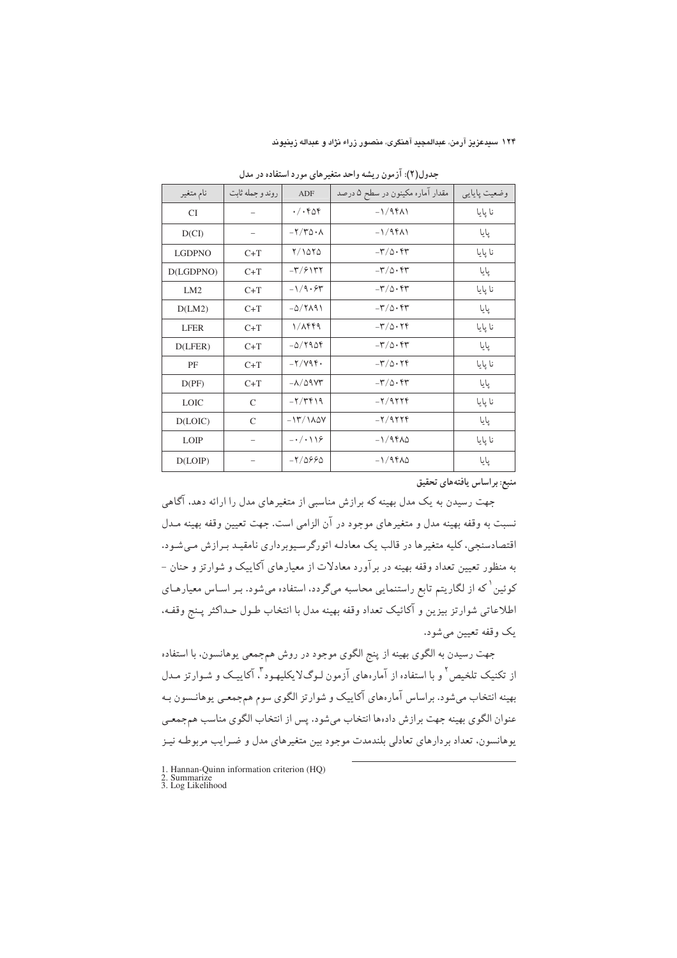| نام متغير       | روندو جمله ثابت          | ADF                          | مقدار آماره مکینون در سطح ۵ درصد          | وضعيت پايايي |
|-----------------|--------------------------|------------------------------|-------------------------------------------|--------------|
| <b>CI</b>       | $\overline{\phantom{m}}$ | $\cdot/\cdot$ ۴۵۴            | $-1/9f\Lambda$                            | نا پایا      |
| D(CI)           |                          | $-\frac{1}{2}\sqrt{4\Delta}$ | $-1/9f\Lambda$                            | پایا         |
| <b>LGDPNO</b>   | $C+T$                    | Y/10Y0                       | $-\mathbf{r}/\mathbf{r} \cdot \mathbf{r}$ | نا پایا      |
| D(LGDPNO)       | $C+T$                    | $-\Gamma/5$                  | $-\mathbf{r}/\mathbf{0}\cdot \mathbf{r}$  | پایا         |
| LM <sub>2</sub> | $C+T$                    | $-1/9.54$                    | $-\mathbf{r}/\mathbf{r} \cdot \mathbf{r}$ | نا پایا      |
| D(LM2)          | $C+T$                    | $-\Delta/\Upsilon\Lambda$ ۹۱ | $-\mathbf{r}/\mathbf{0}\cdot\mathbf{r}$   | پایا         |
| <b>LFER</b>     | $C+T$                    | $1/\lambda$ ۴۴۹              | $-\mathbf{r}/\mathbf{0}\cdot\mathbf{r}$   | نا پایا      |
| D(LFER)         | $C+T$                    | $-\Delta$ /۲۹۵۴              | $-\mathbf{r}/\mathbf{r} \cdot \mathbf{r}$ | پایا         |
| PF              | $C+T$                    | $-Y/VP$                      | $-\mathbf{r}/\mathbf{0}\cdot\mathbf{r}$   | نا پايا      |
| D(PF)           | $C+T$                    | $-\lambda/\Delta$ ۹۷۳        | $-\mathbf{r}/\mathbf{0}\cdot \mathbf{r}$  | پایا         |
| <b>LOIC</b>     | $\mathsf{C}$             | $-7/7919$                    | $-Y/9779$                                 | نا پایا      |
| D(LOIC)         | $\mathsf{C}$             | $-17/100$                    | $-Y/9779$                                 | پایا         |
| <b>LOIP</b>     | $\overline{\phantom{m}}$ | $-\cdot/\cdot\19$            | $-1/9$ ۴۸۵                                | نا پایا      |
| D(LOIP)         |                          | $-7/0990$                    | $-1/9$ ۴۸۵                                | پایا         |

جدول(۲): ازمون ریشه واحد متغیرهای مورد استفاده در مدل

منبع: براساس يافتههاي تحقيق

جهت رسیدن به یک مدل بهینه که برازش مناسبی از متغیرهای مدل را ارائه دهد. اگاهی نسبت به وقفه بهينه مدل و متغيرهاي موجود در ان الزامي است. جهت تعيين وقفه بهينه مـدل اقتصادسنجی، کلیه متغیرها در قالب یک معادلـه اتورگرسـیوبرداری نامقیـد بـرازش مـیشـود. به منظور تعیین تعداد وقفه بهینه در براورد معادلات از معیارهای اکاییک و شوارتز و حنان – کوئین<sup>'</sup> که از لگاریتم تابع راستنمایی محاسبه میگردد، استفاده میشود. بـر اسـاس معیارهـای اطلاعاتي شوارتز بيزين و اكائيک تعداد وقفه بهينه مدل با انتخاب طـول حـداكثر پـنج وقفـه. يک وقفه تعيين ميشود.

جهت رسيدن به الگوي بهينه از پنج الگوي موجود در روش هم جمعي يوهانسون، با استفاده از تکنیک تلخیص<sup>۲</sup> و با استفاده از آمارههای آزمون لـوگلایکلیهـود<sup>۳</sup>. آکاییــک و شـوارتز مـدل بهینه انتخاب میشود. براساس امارههای اکاییک و شوارتز الگوی سوم همجمعی یوهانـسون بـه عنوان الگوی بهینه جهت برازش دادهها انتخاب میشود. پس از انتخاب الگوی مناسب همجمعـی یوهانسون، تعداد بردارهای تعادلی بلندمدت موجود بین متغیرهای مدل و ضـرایب مربوطـه نیـز

 $\overline{a}$ 

<sup>1.</sup> Hannan-Quinn information criterion (HQ) 2. Summarize 3. Log Likelihood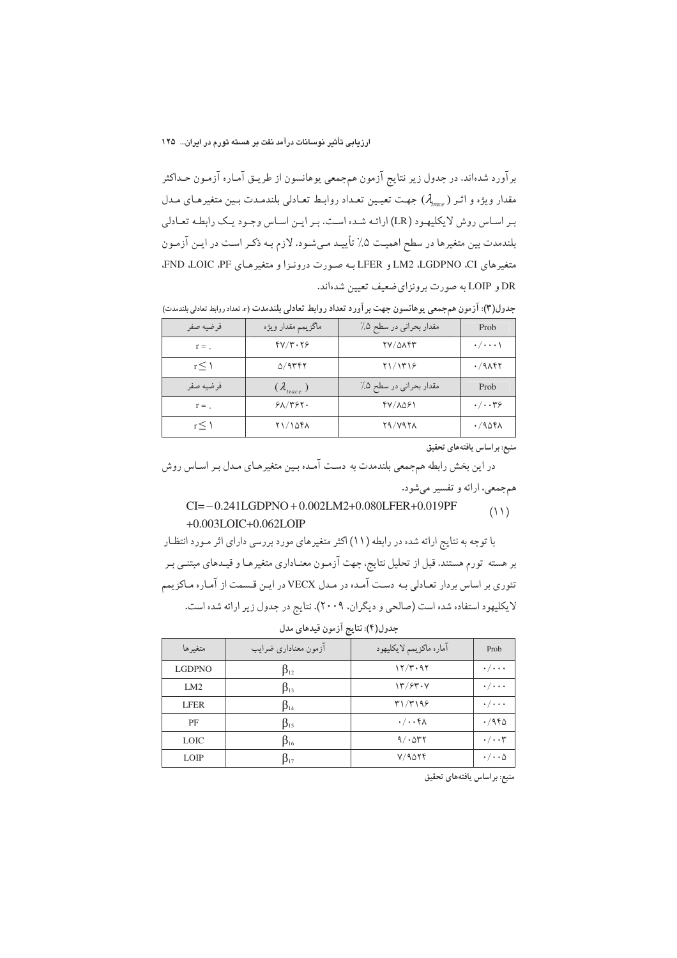برآورد شدهاند. در جدول زیر نتایج آزمون همجمعی یوهانسون از طریـق آمـاره آزمـون حـداکثر مقدار ویژه و اثـر (  $\lambda_{mce}$ ) جهـت تعیـین تعـداد روابـط تعـادلی بلندمـدت بـین متغیرهـای مـدل بـر اسـاس روش لايكليهـود (LR) ارائـه شـده اسـت. بـر ايـن اسـاس وجـود يـك رابطـه تعـادلي بلندمدت بین متغیرها در سطح اهمیت ۵٪ تأییـد مـیشـود. لازم بـه ذکـر اسـت در ایـن آزمـون متغیرهای LM2 ،LGDPNO ،CI و LFER به صورت درونـزا و متغیرهـای FND ،LOIC ،PF. DR و LOIP به صورت برونزاي ضعيف تعيين شدهاند.

| فرضيه صفر       | ماگزيمم مقدار ويژه         | مقدار بحراني در سطح ۰٪ | Prob                   |
|-----------------|----------------------------|------------------------|------------------------|
| $r =$ .         | $fV/\tau\cdot\tau$         | TV/QAFF                | $\cdot / \cdots$       |
| r<1             | 0/9                        | Y1/1719                | $\cdot$ /9 $\wedge$ ۴۲ |
| فرضيه صفر       | $(\lambda_{\text{trace}})$ | مقدار بحراني در سطح ۰٪ | Prob                   |
| $r =$ .         | 51/757.                    | 47/1081                | $\cdot/\cdot\cdot$ ۳۶  |
| $r \leq \gamma$ | 11/1041                    | Y9/Y9YA                | .7908                  |

جدول(٣): آزمون هم جمعي يوهانسون جهت بر آورد تعداد روابط تعادلي بلندمدت (r. تعداد روابط تعادلي بلندمدت)

منبع: بر اساس یافتههای تحقیق

در این بخش رابطه همجمعی بلندمدت به دست آمـده بـین متغیرهـای مـدل بـر اسـاس روش همجمعي، ارائه و تفسير مي شود.

#### $CI = -0.241LGDPNO + 0.002LM2 + 0.080LFER + 0.019PF$  $(11)$  $+0.003LOIC + 0.062LOIP$

با توجه به نتایج ارائه شده در رابطه (۱۱) اکثر متغیرهای مورد بررسی دارای اثر مـورد انتظـار بر هسته تورم هستند. قبل از تحلیل نتایج، جهت آزمـون معنـاداری متغیرهـا و قیـدهای مبتنـی بـر تئوري بر اساس بردار تعـادلي بـه دسـت آمـده در مـدل VECX در ايـن قـسمت از آمـاره مـاكزيمم لایکلیهود استفاده شده است (صالحی و دیگران. ۲۰۰۹). نتایج در جدول زیر ارائه شده است.

| متغيرها       | ازمون معناداري ضرايب | آماره ماكزيمم لايكليهود | Prob                        |
|---------------|----------------------|-------------------------|-----------------------------|
| <b>LGDPNO</b> | $\beta_{12}$         | 17/T.97                 | $\cdot/\cdot\cdot\cdot$     |
| LM2           | $\beta_{13}$         | $\frac{17}{57}$         | $\cdot/\cdot\cdot\cdot$     |
| <b>LFER</b>   | $\beta_{14}$         | T1/T199                 | $\cdot/\cdot\cdot\cdot$     |
| PF            | $\beta_{15}$         | $\cdot/\cdot\cdot$ ۴۸   | .7960                       |
| <b>LOIC</b>   | $\beta_{16}$         | 9/004                   | $\cdot/\cdot\cdot$ ۳        |
| <b>LOIP</b>   | $15_{17}$            | V/9019                  | $\cdot/\cdot\cdot$ $\wedge$ |

|  | جدول(۴): نتایج آزمون قیدهای مدل |  |  |  |  |
|--|---------------------------------|--|--|--|--|
|--|---------------------------------|--|--|--|--|

منبع: براساس يافتههاي تحقيق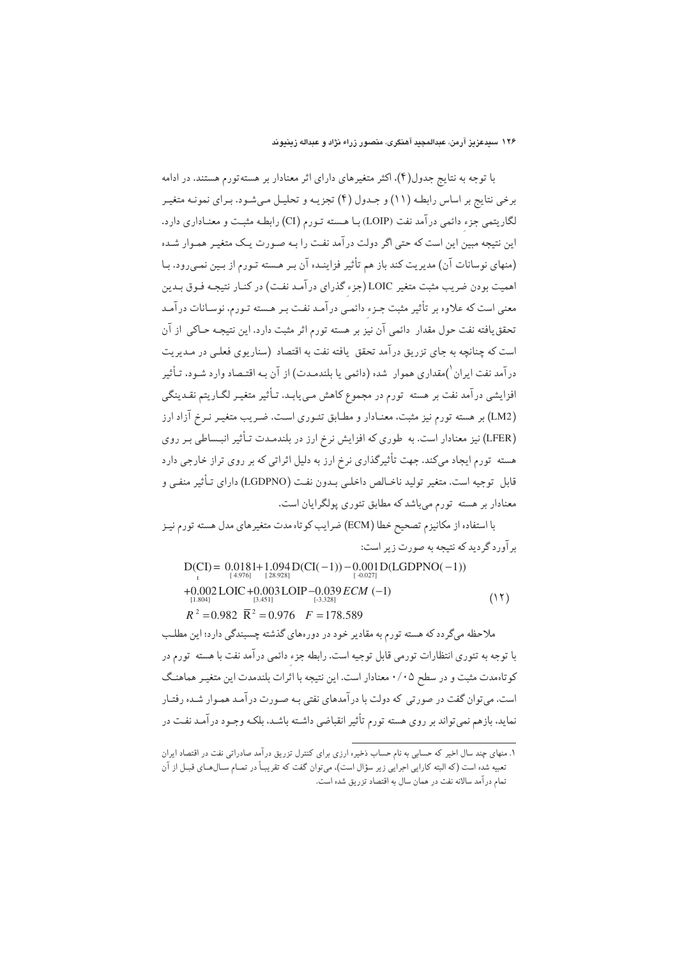با توجه به نتایج جدول(۴)، اکثر متغیرهای دارای اثر معنادار بر هسته تورم هستند. در ادامه برخی نتایج بر اساس رابطـه (۱۱) و جـدول (۴) تجزیـه و تحلیـل مـیشـود. بـرای نمونـه متغیـر لگاریتمی جزء دائمی درآمد نفت (LOIP) بـا هـسته تـورم (CI) رابطـه مثبـت و معنـاداری دارد. این نتیجه مبین این است که حتی اگر دولت در آمد نفت را بـه صـورت یـک متغیـر همـوار شـده (منهای نوسانات آن) مدیریت کند باز هم تأثیر فزاینـده آن بـر هـسته تـورم از بـین نمـیرود. بـا اهمیت بودن ضریب مثبت متغیر LOIC(جزء گذرای درآمد نفت) در کنـار نتیجـه فـوق بـدین معنی است که علاوه بر تأثیر مثبت جـزء دائمـی درآمـد نفـت بـر هـسته تـورم، نوسـانات درآمـد تحقق یافته نفت حول مقدار ۖ دائمی آن نیز بر هسته تورم اثر مثبت دارد. این نتیجـه حـاکی ۖ از آن است که چنانچه به جای تزریق درآمد تحقق یافته نفت به اقتصاد (سناریوی فعلبی در مـدیریت در آمد نفت ایران <sup>۱</sup>)مقداری هموار شده (دائمی یا بلندمـدت) از آن بـه اقتـصاد وارد شـود، تـأثیر افزایشی درآمد نفت بر هسته تورم در مجموع کاهش مـیbیابـد. تـأثیر متغیـر لگـاریتم نقـدینگی (LM2) بر هسته تورم نیز مثبت، معنـادار و مطـابق تئـوري اسـت. ضـریب متغیـر نـرخ آزاد ارز (LFER) نیز معنادار است. به طوری که افزایش نرخ ارز در بلندمـدت تـأثیر انبـساطي بـر روی هسته تورم ایجاد میکند. جهت تأثیرگذاری نرخ ارز به دلیل اثراتی که بر روی تراز خارجی دارد قابل توجيه است. متغير توليد ناخـالص داخلـي بـدون نفـت (LGDPNO) داراي تـأثير منفـي و معنادار بر هسته تورم میباشد که مطابق تئوری پولگرایان است.

با استفاده از مكانيزم تصحيح خطا (ECM) ضرايب كوتاه مدت متغيرهاي مدل هسته تورم نيـز برآورد گردید که نتیجه به صورت زیر است:

D(CI) = 0.0181+1.094 D(CI(-1)) - 0.001 D(LGDPNO(-1))  
+0.002 LOIC + 0.003 LOIP -0.039 *ECM* (-1)  

$$
{}^{[1.804]}_{[1.804]}
$$

ملاحظه میگردد که هسته تورم به مقادیر خود در دورههای گذشته چسبندگی دارد؛ این مطلب با توجه به تئوري انتظارات تورمي قابل توجيه است. رابطه جزء دائمي درآمد نفت با هسته تورم در کوتاهمدت مثبت و در سطح ۰/۰۵ معنادار است. این نتیجه با اثرات بلندمدت این متغیـر هماهنـگ است. می توان گفت در صورتی که دولت با در آمدهای نفتی بـه صـورت در آمـد همـوار شـده رفتـار نماید، بازهم نمیتواند بر روی هسته تورم تأثیر انقباضی داشـته باشـد، بلکـه وجـود درآمـد نفـت در

۱. منهای چند سال اخیر که حسابی به نام حساب ذخیره ارزی برای کنترل تزریق درآمد صادراتی نفت در اقتصاد ایران تعبیه شده است (که البته کارایی اجرایی زیر سؤال است)، میتوان گفت که تقریبـاً در تمـام سـالهـای قبـل از آن تمام درآمد سالانه نفت در همان سال به اقتصاد تزريق شده است.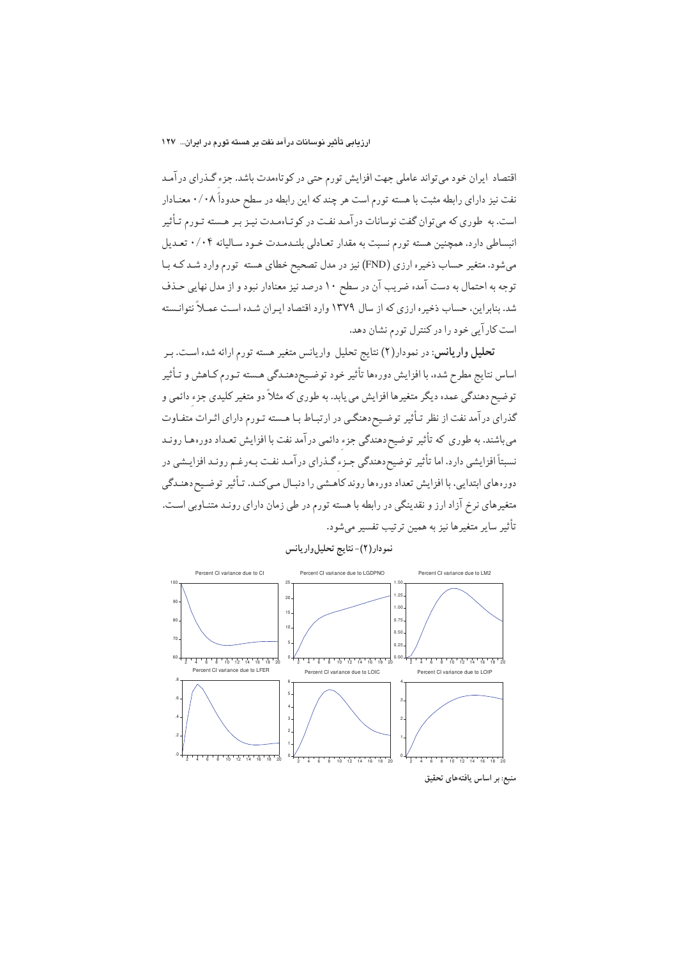اقتصاد ایران خود میتواند عاملی جهت افزایش تورم حتی در کوتاهمدت باشد. جزء گـذرای درآمـد نفت نیز دارای رابطه مثبت با هسته تورم است هر چند که این رابطه در سطح حدوداً ۰/۰۸ معنـادار است. به طوري كه مي توان گفت نوسانات درآمـد نفـت در كوتـاهمـدت نيـز بـر هـسته تـورم تـأثير انبساطي دارد. همچنين هسته تورم نسبت به مقدار تعـادلي بلنـدمـدت خـود سـاليانه ۰/۰۴ تعـديل میشود. متغیر حساب ذخیره ارزی (FND) نیز در مدل تصحیح خطای هسته تورم وارد شد ک با توجه به احتمال به دست آمده ضریب آن در سطح ۱۰ درصد نیز معنادار نبود و از مدل نهایی حـذف شد. بنابراین، حساب ذخیره ارزی که از سال ۱۳۷۹ وارد اقتصاد ایـران شـده اسـت عمـلاً نتوانـسته است کارآیی خود را در کنترل تورم نشان دهد.

تحلیل واریانس: در نمودار(۲) نتایج تحلیل واریانس متغیر هسته تورم ارائه شده است. بـر اساس نتايج مطرح شده، با افزايش دورهها تأثير خود توضيح دهنـدگي هـسته تـورم كـاهش و تـأثير توضیح دهندگی عمده دیگر متغیرها افزایش می یابد. به طوری که مثلاً دو متغیر کلیدی جزء دائمی و گذرای درآمد نفت از نظر تـأثیر توضـیح‹هنگـی در ارتبـاط بـا هـسته تـورم دارای اثـرات متفـاوت میباشند. به طوری که تأثیر توضیح دهندگی جزء دائمی درآمد نفت با افزایش تعـداد دورههـا رونـد نسبتاً افزایشی دارد. اما تأثیر توضیح دهندگی جـزء گـذرای درآمـد نفـت بـهرغـم رونـد افزایـشی در دورههای ابتدایی، با افزایش تعداد دورهها روند کاهـشی را دنبـال مـی کنـد. تـأثیر توضـیح۱هنـدگی متغیرهای نرخ آزاد ارز و نقدینگی در رابطه با هسته تورم در طی زمان دارای رونـد متنـاوبی اسـت. تأثير ساير متغيرها نيز به همين ترتيب تفسير مىشود.



نمودار (٢)- نتايج تحليل واريانس

منبع: بر اساس یافتههای تحقیق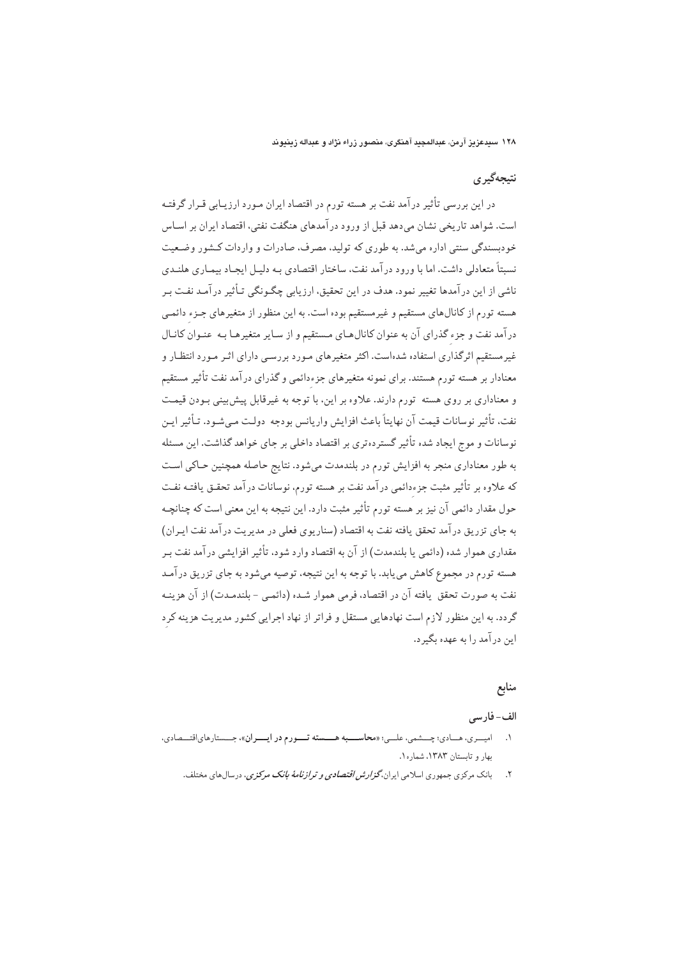# نتېجەگېرى

در این بررسی تأثیر درآمد نفت بر هسته تورم در اقتصاد ایران مـورد ارزیـابی قـرار گرفتـه است. شواهد تاریخی نشان می،دهد قبل از ورود در آمدهای هنگفت نفتی، اقتصاد ایران بر اسـاس خودبسندگی سنتی اداره میشد. به طوری که تولید، مصرف، صادرات و واردات کـشور وضـعیت نسبتاً متعادلی داشت. اما با ورود در آمد نفت، ساختار اقتصادی بـه دلـیل ایجـاد پیمـاری هلنـدی ناشی از این درآمدها تغییر نمود. هدف در این تحقیق، ارزیابی چگـونگی تـأثیر درآمـد نفـت بـر هسته تورم از کانالهای مستقیم و غیرمستقیم بوده است. به این منظور از متغیرهای جـزء دائمـی درآمد نفت و جزء گذرای آن به عنوان کانالهای مستقیم و از سایر متغیرهـا بـه عنـوان کانـال غیر مستقیم اثرگذاری استفاده شدهاست. اکثر متغیرهای مـورد بررسـی دارای اثـر مـورد انتظـار و معنادار بر هسته تورم هستند. برای نمونه متغیرهای جزءدائمی و گذرای درآمد نفت تأثیر مستقیم و معناداری بر روی هسته تورم دارند. علاوه بر این، با توجه به غیرقابل پیش بینی بودن قیمت نفت، تأثير نوسانات قيمت آن نهايتاً باعث افزايش واريانس بودجه دولت مے شـود. تـأثير ايـن نوسانات و موج ایجاد شده تأثیر گستردهتری بر اقتصاد داخلی بر جای خواهد گذاشت. این مسئله به طور معناداری منجر به افزایش تورم در بلندمدت میشود. نتایج حاصله همچنین حـاکی اسـت که علاوه بر تأثیر مثبت جزءدائمی درآمد نفت بر هسته تورم، نوسانات درآمد تحقـق یافتـه نفـت حول مقدار دائمي آن نيز بر هسته تورم تأثير مثبت دارد. اين نتيجه به اين معنى است كه چنانچـه به جای تزریق درآمد تحقق یافته نفت به اقتصاد (سناریوی فعلی در مدیریت درآمد نفت ایـران) مقداري هموار شده (دائمي يا بلندمدت) از آن به اقتصاد وارد شود، تأثير افزايشي درآمد نفت بـر هسته تورم در مجموع کاهش می یابد. با توجه به این نتیجه، توصیه می شود به جای تزریق در آمـد نفت به صورت تحقق یافته آن در اقتصاد، فرمی هموار شـده (دائمـی - بلندمـدت) از آن هزینـه گردد. به این منظور لازم است نهادهایی مستقل و فراتر از نهاد اجرایی کشور مدیریت هزینه کرد این درآمد را به عهده بگیرد.

#### منابع

# الف-فارسي

- ۱. اميسري، هسادي؛ چسشمي، علسي؛ «محاسسيه هسسته تسورم در ايسران»، جسستارهاي اقتسصادي، ىھار و تايستان ١٣٨٣، شماره١.
	- ۲. بانک مرکزی جمهوری اسلامی ایران،*گزارش اقتصادی و ترازنامهٔ بانک مرکزی*، درسالهای مختلف.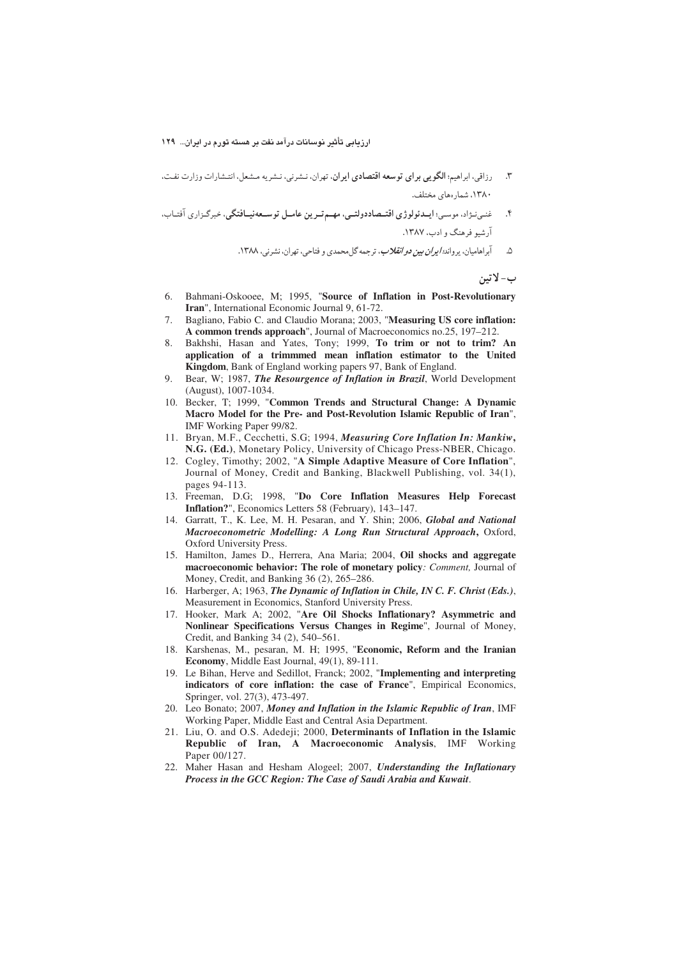- ۳. رزاقي، ابراهيم: الگويي براي توسعه اقتصادي ايران. تهران، نـشرني، نـشريه مـشعل، انتـشارات وزارت نفـت. ۱۳۸۰. شمار رهای مختلف.
- \*N+85(N&-)]/ a%-
a-5a 7\$)a.aRa/ 8a/(Qf3a) N#,=NN-n O ارشیو فرهنگ و ادب، ۱۳۸۷.
	- ۵. ابراهامیان، یرواند*؛ ایران بین دو انقلاب*، ترجمه گلمحمدی و فتاحی، تهران، نشرنی، ۱۳۸۸.

ب-لاتين

- 6. Bahmani-Oskooee, M; 1995, "**Source of Inflation in Post-Revolutionary Iran**", International Economic Journal 9, 61-72.
- 7. Bagliano, Fabio C. and Claudio Morana; 2003, "**Measuring US core inflation: A common trends approach**", Journal of Macroeconomics no.25, 197–212.
- 8. Bakhshi, Hasan and Yates, Tony; 1999, **To trim or not to trim? An application of a trimmmed mean inflation estimator to the United Kingdom**, Bank of England working papers 97, Bank of England.
- 9. Bear, W; 1987, *The Resourgence of Inflation in Brazil*, World Development (August), 1007-1034.
- 10. Becker, T; 1999, "**Common Trends and Structural Change: A Dynamic Macro Model for the Pre- and Post-Revolution Islamic Republic of Iran**", IMF Working Paper 99/82.
- 11. Bryan, M.F., Cecchetti, S.G; 1994, *Measuring Core Inflation In: Mankiw***, N.G. (Ed.)**, Monetary Policy, University of Chicago Press-NBER, Chicago.
- 12. Cogley, Timothy; 2002, "**A Simple Adaptive Measure of Core Inflation**", Journal of Money, Credit and Banking, Blackwell Publishing, vol. 34(1), pages 94-113.
- 13. Freeman, D.G; 1998, "**Do Core Inflation Measures Help Forecast Inflation?**", Economics Letters 58 (February), 143–147.
- 14. Garratt, T., K. Lee, M. H. Pesaran, and Y. Shin; 2006, *Global and National Macroeconometric Modelling: A Long Run Structural Approach***,** Oxford, Oxford University Press.
- 15. Hamilton, James D., Herrera, Ana Maria; 2004, **Oil shocks and aggregate macroeconomic behavior: The role of monetary policy***: Comment,* Journal of Money, Credit, and Banking 36 (2), 265–286.
- 16. Harberger, A; 1963, *The Dynamic of Inflation in Chile, IN C. F. Christ (Eds.)*, Measurement in Economics, Stanford University Press.
- 17. Hooker, Mark A; 2002, "**Are Oil Shocks Inflationary? Asymmetric and Nonlinear Specifications Versus Changes in Regime**", Journal of Money, Credit, and Banking 34 (2), 540–561.
- 18. Karshenas, M., pesaran, M. H; 1995, "**Economic, Reform and the Iranian Economy**, Middle East Journal, 49(1), 89-111.
- 19. Le Bihan, Herve and Sedillot, Franck; 2002, "**Implementing and interpreting indicators of core inflation: the case of France**", Empirical Economics, Springer, vol. 27(3), 473-497.
- 20. Leo Bonato; 2007, *Money and Inflation in the Islamic Republic of Iran*, IMF Working Paper, Middle East and Central Asia Department.
- 21. Liu, O. and O.S. Adedeji; 2000, **Determinants of Inflation in the Islamic Republic of Iran, A Macroeconomic Analysis**, IMF Working Paper 00/127.
- 22. Maher Hasan and Hesham Alogeel; 2007, *Understanding the Inflationary Process in the GCC Region: The Case of Saudi Arabia and Kuwait*.